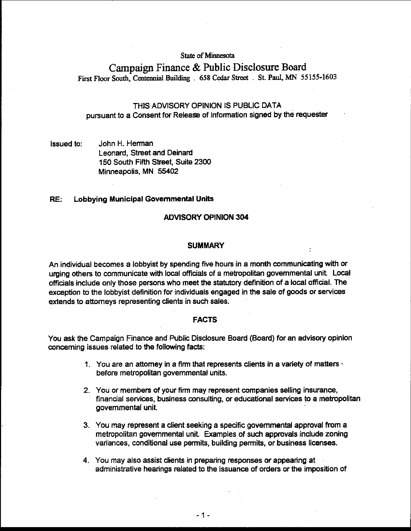**State of Minnesota** 

# **Campaign Finance** & **Public Disclosure Board**  First Floor South, Centennial Building . 658 Cedar Street . St. Paul, MN 55155-1603

# THIS ADVISORY OPINION IS PUBLIC DATA pursuant to a Consent for Release of Information signed by the requester

## Issued to: John H. Herman Leonard, Street and Deinard 150 South Fifth Street, Suite 2300 Minneapolis, MN 55402

## RE: Lobbying Municipal Governmental Units

#### ADVISORY OPINION 304

#### **SUMMARY**

An individual becomes a lobbyist by spending five hours in a month communicating with or urging others to communicate with local officials of a metropolitan govemmental unit Local officials include only those persons who meet the statutory definition of a local official. The exception to the lobbyist definition for individuals engaged in the sale of goods or services extends to attorneys representing clients in such sales.

#### FACTS

You ask the Campaign Finance and Public Disclosure Board (Board) for an advisory opinion concerning issues related to the following facts:

- 1. You are an attorney in a firm that represents clients in a variety of matters  $\cdot$ before metropolitan governmental units.
- 2. You or members of your firm may represent companies selling insurance, financial services, business consulting, or educational services to a metropolitan governmental unit.
- 3. You may represent a client seeking a specific governmental approval from a metropolitan govemmental unit. Examples of such approvals include zoning variances, conditional use permits, building permits, or business licenses.
- 4. You may also assist clients in preparing responses or appearing at administrative hearings related to the issuance of orders or the imposition of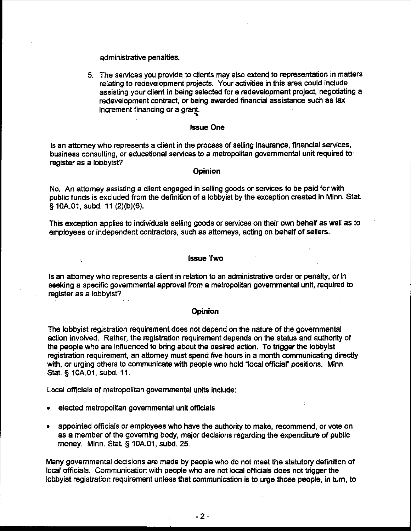administrative penalties.

5. The services you provide to clients may also extend to representation in matters relating to redevelopment projects. Your activities in this area could indude assisting your dient in being selected for a redevelopment project, negotiating a redevelopment contract, or being awarded financial assistance such as tax increment financing or a grant.

#### Issue One

Is an attorney who represents a dient in the process of selling insurance, financial services, business consulting, or educational services to a metropolitan governmental unit required to register as a lobbyist?

## **Opinion**

No. An attorney assisting a dient engaged in selling goods or services to be paid forwith public funds is excluded from the definition of a lobbyist by the exception created in Minn. Stat § 10A.01, subd. 11 (2)(b)(6).

This exception applies to individuals selling goods or services on their own behalf as well as to employees or independent contractors, such as attorneys, acting on behalf of sellers.

## Issue Two

 $\sigma$ 

Is an attorney who represents a client in relation to an administrative order or penalty, or in seeking a specific governmental approval from a metropolitan governmental unit, required to register as a lobbyist?

### Opinion

The lobbyist registration requirement does not depend on the nature of the governmental action involved. Rather, the registration requirement depends on the status and authority of the people who are influenced to bring about the desired action. To trigger the lobbyist registration requirement, an attorney must spend fwe hours in a month communicating directly with, or urging others to communicate with people who hold 'local official" positions. Minn. Stat. **5** 10A.O1, subd. 11.

Local officials of metropolitan govemmental units include:

elected metropolitan governmental unit officials

k.

appointed officials or employees who have the authority to make, recommend, or vote on as a member of the governing body, major decisions regarding the expenditure of public money. Minn. Stat. § 10A.O1, subd. 25.

Many governmental decisions are made by people who do not meet the statutory definition of local officials. Communication with people who are not local officials does not trigger the lobbyist registration requirement unless that communication is to urge those people, in turn, to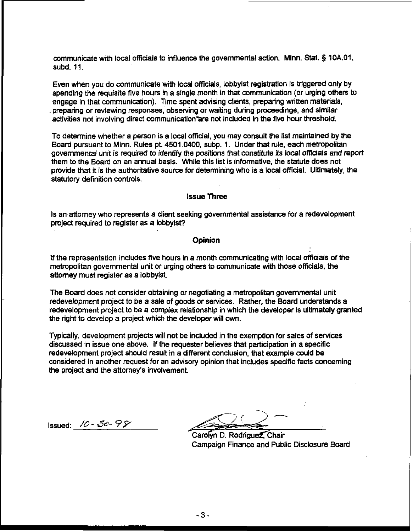communicate with local officials to influence the governmental action. Minn. Stat. § **10A.01,**  subd. 11.

Even when you do communicate with local officials, lobbyist registration is triggered only by spending the requisite five hours in a single month in that communication (or urging others to engage in that communication). Time spent advising clients, preparing written materials, . preparing or reviewing responses, observing or waiting during proceedings, and similar activities not involving direct communication are not included in the five hour threshold.

To determine whether a person is a local official, you may consult the list maintained by the Board pursuant to Minn. Rules pt 4501.0400, subp. 1. Under that rule, each metropolitan governmental unit is required to identify the positions that constitute its local offiaals and report them to the Board on an annual basis. While this list is informative, the statute does not provide that it is the authoritative source for determining who is a local official. Ultimately, the statutory definition controls.

## Issue Three

Is an attorney who represents a dient seeking governmental assistance for a redevelopment project required to register as a lobbyist?

#### **Opinion**

If the representation includes five hours in a month communicating with local officials of the metropolitan governmental unit or urging others to communicate with those officials, the attorney must register as a lobbyist

The Board does not consider obtaining or negotiating a metropolitan governmental unit redevelopment project to be a sale of goods or services. Rather, the Board understands a redevelopment project to be a complex relationship in which the developer is ultimately granted the right to develop a project which the developer will own.

Typically, development projects will not be included in the exemption for sales of services discussed in issue one above. If the requester believes that participation in a specific redevelopment project should result in a different conclusion, that example could be considered in another request for an advisory opinion that indudes specific facts concerning the project and the attorney's involvement

Issued: /& - **ad-** ?Y

Carolyn D. Rodriguez, Chair Campaign Finance and Public Disclosure Board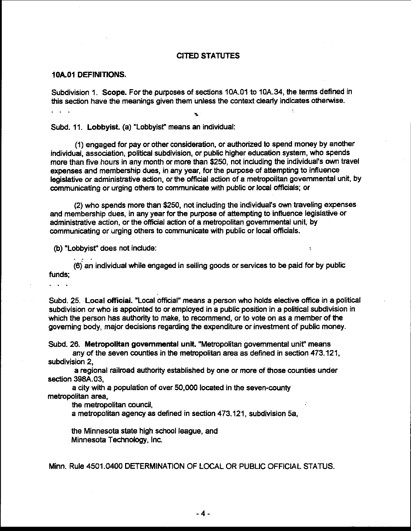#### CITED STATUTES

## 10A.01 DEFINITIONS.

Subdivision 1. Scope. For the purposes of sections 10A.O1 to 10A.34, the terms defined in this section have the meanings given them unless the context clearly indicates otherwise. ... %

Subd. 11. Lobbyist. (a) "Lobbyist" means an individual:

(I) engaged for pay or other consideration, or authorized to spend money by another individual. association, political subdivision, or public higher education system, who spends more than five hours in-any month or more than \$250, not including the individual's **own** travel expenses and membership dues, in any year, for the purpose of attempting to influence legislative or administrative action, or the official action of a metropolitan governmental unit, by communicating or urging others to communicate with public or local officials; or

(2) who spends more than \$250, not including the individual's own traveling expenses and membership dues, in any year for the purpose of attempting to influence legislative or administrative action, or the official action of a metropolitan governmental unit, by communicating or urging others to communicate with public or local officials.

 $\overline{z}$ 

(b) "Lobbyist" does not indude:

... (6) an individual while engaged in selling goods or services to be paid for by public funds;

...

Subd. 25. Local official. "Local official" means a person who holds elective office in a political subdivision or who is appointed to or employed in a public position in a political subdivision in which the person has authority to make, to recommend, or to vote on as a member of the governing body, major decisions regarding the expenditure or investment of public money.

Subd. 26. Metropolitan governmental unit. "Metropolitan governmental unit" means any of the seven counties in the metropolitan area as defined in section 473.121,

subdivision 2,

a regional railroad authority established by one or more of those counties under section 398A.03,

a city with a population of over 50,000 located in the seven-county metropolitan area,

the metropolitan council,

a metropolitan agency as defined in section 473.121, subdivision 5a.

the Minnesota state high school league, and Minnesota Technology, Inc.

Minn. Rule 4501.0400 DETERMINATION OF LOCAL OR PUBLIC OFFICIAL STATUS.